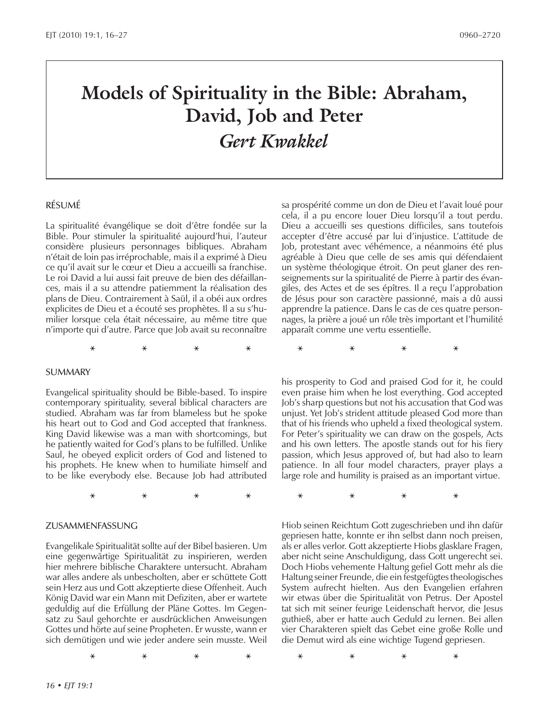# **Models of Spirituality in the Bible: Abraham, David, Job and Peter** *Gert Kwakkel*

**\* \* \* \* \* \* \* \***

**\* \* \* \* \* \* \* \***

**\* \* \* \* \* \* \* \***

#### RÉSUMÉ

La spiritualité évangélique se doit d'être fondée sur la Bible. Pour stimuler la spiritualité aujourd'hui, l'auteur considère plusieurs personnages bibliques. Abraham n'était de loin pas irréprochable, mais il a exprimé à Dieu ce qu'il avait sur le cœur et Dieu a accueilli sa franchise. Le roi David a lui aussi fait preuve de bien des défaillances, mais il a su attendre patiemment la réalisation des plans de Dieu. Contrairement à Saül, il a obéi aux ordres explicites de Dieu et a écouté ses prophètes. Il a su s'humilier lorsque cela était nécessaire, au même titre que n'importe qui d'autre. Parce que Job avait su reconnaître

SUMMARY

Evangelical spirituality should be Bible-based. To inspire contemporary spirituality, several biblical characters are studied. Abraham was far from blameless but he spoke his heart out to God and God accepted that frankness. King David likewise was a man with shortcomings, but he patiently waited for God's plans to be fulfilled. Unlike Saul, he obeyed explicit orders of God and listened to his prophets. He knew when to humiliate himself and to be like everybody else. Because Job had attributed

ZUSAMMENFASSUNG

Evangelikale Spiritualität sollte auf der Bibel basieren. Um eine gegenwärtige Spiritualität zu inspirieren, werden hier mehrere biblische Charaktere untersucht. Abraham war alles andere als unbescholten, aber er schüttete Gott sein Herz aus und Gott akzeptierte diese Offenheit. Auch König David war ein Mann mit Defiziten, aber er wartete geduldig auf die Erfüllung der Pläne Gottes. Im Gegensatz zu Saul gehorchte er ausdrücklichen Anweisungen Gottes und hörte auf seine Propheten. Er wusste, wann er sich demütigen und wie jeder andere sein musste. Weil

sa prospérité comme un don de Dieu et l'avait loué pour cela, il a pu encore louer Dieu lorsqu'il a tout perdu. Dieu a accueilli ses questions difficiles, sans toutefois accepter d'être accusé par lui d'injustice. L'attitude de Job, protestant avec véhémence, a néanmoins été plus agréable à Dieu que celle de ses amis qui défendaient un système théologique étroit. On peut glaner des renseignements sur la spiritualité de Pierre à partir des évangiles, des Actes et de ses épîtres. Il a reçu l'approbation de Jésus pour son caractère passionné, mais a dû aussi apprendre la patience. Dans le cas de ces quatre personnages, la prière a joué un rôle très important et l'humilité apparaît comme une vertu essentielle.

his prosperity to God and praised God for it, he could even praise him when he lost everything. God accepted Job's sharp questions but not his accusation that God was unjust. Yet Job's strident attitude pleased God more than that of his friends who upheld a fixed theological system. For Peter's spirituality we can draw on the gospels, Acts and his own letters. The apostle stands out for his fiery passion, which Jesus approved of, but had also to learn patience. In all four model characters, prayer plays a large role and humility is praised as an important virtue.

Hiob seinen Reichtum Gott zugeschrieben und ihn dafür gepriesen hatte, konnte er ihn selbst dann noch preisen, als er alles verlor. Gott akzeptierte Hiobs glasklare Fragen, aber nicht seine Anschuldigung, dass Gott ungerecht sei. Doch Hiobs vehemente Haltung gefiel Gott mehr als die Haltung seiner Freunde, die ein festgefügtes theologisches System aufrecht hielten. Aus den Evangelien erfahren wir etwas über die Spiritualität von Petrus. Der Apostel tat sich mit seiner feurige Leidenschaft hervor, die Jesus guthieß, aber er hatte auch Geduld zu lernen. Bei allen vier Charakteren spielt das Gebet eine große Rolle und die Demut wird als eine wichtige Tugend gepriesen.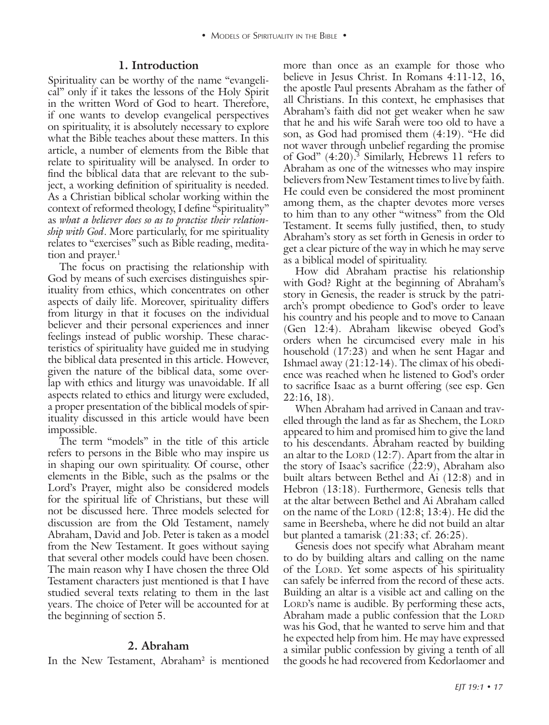### **1. Introduction**

Spirituality can be worthy of the name "evangelical" only if it takes the lessons of the Holy Spirit in the written Word of God to heart. Therefore, if one wants to develop evangelical perspectives on spirituality, it is absolutely necessary to explore what the Bible teaches about these matters. In this article, a number of elements from the Bible that relate to spirituality will be analysed. In order to find the biblical data that are relevant to the subject, a working definition of spirituality is needed. As a Christian biblical scholar working within the context of reformed theology, I define "spirituality" as *what a believer does so as to practise their relationship with God*. More particularly, for me spirituality relates to "exercises" such as Bible reading, meditation and prayer.<sup>1</sup>

The focus on practising the relationship with God by means of such exercises distinguishes spirituality from ethics, which concentrates on other aspects of daily life. Moreover, spirituality differs from liturgy in that it focuses on the individual believer and their personal experiences and inner feelings instead of public worship. These characteristics of spirituality have guided me in studying the biblical data presented in this article. However, given the nature of the biblical data, some overlap with ethics and liturgy was unavoidable. If all aspects related to ethics and liturgy were excluded, a proper presentation of the biblical models of spirituality discussed in this article would have been impossible.

The term "models" in the title of this article refers to persons in the Bible who may inspire us in shaping our own spirituality. Of course, other elements in the Bible, such as the psalms or the Lord's Prayer, might also be considered models for the spiritual life of Christians, but these will not be discussed here. Three models selected for discussion are from the Old Testament, namely Abraham, David and Job. Peter is taken as a model from the New Testament. It goes without saying that several other models could have been chosen. The main reason why I have chosen the three Old Testament characters just mentioned is that I have studied several texts relating to them in the last years. The choice of Peter will be accounted for at the beginning of section 5.

#### **2. Abraham**

In the New Testament, Abraham<sup>2</sup> is mentioned

more than once as an example for those who believe in Jesus Christ. In Romans 4:11-12, 16, the apostle Paul presents Abraham as the father of all Christians. In this context, he emphasises that Abraham's faith did not get weaker when he saw that he and his wife Sarah were too old to have a son, as God had promised them (4:19). "He did not waver through unbelief regarding the promise of God" (4:20).3 Similarly, Hebrews 11 refers to Abraham as one of the witnesses who may inspire believers from New Testament times to live by faith. He could even be considered the most prominent among them, as the chapter devotes more verses to him than to any other "witness" from the Old Testament. It seems fully justified, then, to study Abraham's story as set forth in Genesis in order to get a clear picture of the way in which he may serve as a biblical model of spirituality.

How did Abraham practise his relationship with God? Right at the beginning of Abraham's story in Genesis, the reader is struck by the patriarch's prompt obedience to God's order to leave his country and his people and to move to Canaan (Gen 12:4). Abraham likewise obeyed God's orders when he circumcised every male in his household (17:23) and when he sent Hagar and Ishmael away (21:12-14). The climax of his obedience was reached when he listened to God's order to sacrifice Isaac as a burnt offering (see esp. Gen 22:16, 18).

When Abraham had arrived in Canaan and travelled through the land as far as Shechem, the LORD appeared to him and promised him to give the land to his descendants. Abraham reacted by building an altar to the LORD  $(12:7)$ . Apart from the altar in the story of Isaac's sacrifice (22:9), Abraham also built altars between Bethel and Ai (12:8) and in Hebron (13:18). Furthermore, Genesis tells that at the altar between Bethel and Ai Abraham called on the name of the LORD  $(12:8; 13:4)$ . He did the same in Beersheba, where he did not build an altar but planted a tamarisk (21:33; cf. 26:25).

Genesis does not specify what Abraham meant to do by building altars and calling on the name of the LORD. Yet some aspects of his spirituality can safely be inferred from the record of these acts. Building an altar is a visible act and calling on the LORD's name is audible. By performing these acts, Abraham made a public confession that the LORD was his God, that he wanted to serve him and that he expected help from him. He may have expressed a similar public confession by giving a tenth of all the goods he had recovered from Kedorlaomer and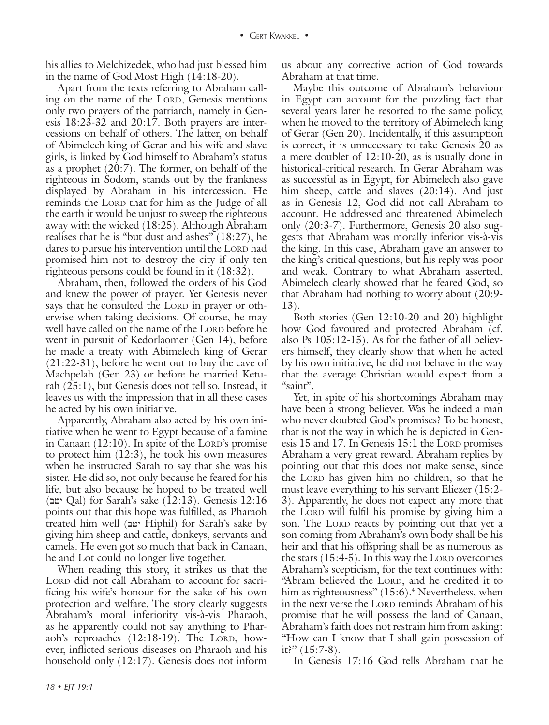his allies to Melchizedek, who had just blessed him in the name of God Most High (14:18-20).

Apart from the texts referring to Abraham calling on the name of the Lord, Genesis mentions only two prayers of the patriarch, namely in Genesis 18:23-32 and 20:17. Both prayers are intercessions on behalf of others. The latter, on behalf of Abimelech king of Gerar and his wife and slave girls, is linked by God himself to Abraham's status as a prophet (20:7). The former, on behalf of the righteous in Sodom, stands out by the frankness displayed by Abraham in his intercession. He reminds the LORD that for him as the Judge of all the earth it would be unjust to sweep the righteous away with the wicked (18:25). Although Abraham realises that he is "but dust and ashes" (18:27), he dares to pursue his intervention until the LORD had promised him not to destroy the city if only ten righteous persons could be found in it (18:32).

Abraham, then, followed the orders of his God and knew the power of prayer. Yet Genesis never says that he consulted the Lord in prayer or otherwise when taking decisions. Of course, he may well have called on the name of the LORD before he went in pursuit of Kedorlaomer (Gen 14), before he made a treaty with Abimelech king of Gerar (21:22-31), before he went out to buy the cave of Machpelah (Gen 23) or before he married Keturah (25:1), but Genesis does not tell so. Instead, it leaves us with the impression that in all these cases he acted by his own initiative.

Apparently, Abraham also acted by his own initiative when he went to Egypt because of a famine in Canaan  $(12:10)$ . In spite of the LORD's promise to protect him (12:3), he took his own measures when he instructed Sarah to say that she was his sister. He did so, not only because he feared for his life, but also because he hoped to be treated well (bjy Qal) for Sarah's sake (12:13). Genesis 12:16 points out that this hope was fulfilled, as Pharaoh treated him well (bjy Hiphil) for Sarah's sake by giving him sheep and cattle, donkeys, servants and camels. He even got so much that back in Canaan, he and Lot could no longer live together.

When reading this story, it strikes us that the LORD did not call Abraham to account for sacrificing his wife's honour for the sake of his own protection and welfare. The story clearly suggests Abraham's moral inferiority vis-à-vis Pharaoh, as he apparently could not say anything to Pharaoh's reproaches (12:18-19). The LORD, however, inflicted serious diseases on Pharaoh and his household only (12:17). Genesis does not inform

Maybe this outcome of Abraham's behaviour in Egypt can account for the puzzling fact that several years later he resorted to the same policy, when he moved to the territory of Abimelech king of Gerar (Gen 20). Incidentally, if this assumption is correct, it is unnecessary to take Genesis 20 as a mere doublet of 12:10-20, as is usually done in historical-critical research. In Gerar Abraham was as successful as in Egypt, for Abimelech also gave him sheep, cattle and slaves (20:14). And just as in Genesis 12, God did not call Abraham to account. He addressed and threatened Abimelech only (20:3-7). Furthermore, Genesis 20 also suggests that Abraham was morally inferior vis-à-vis the king. In this case, Abraham gave an answer to the king's critical questions, but his reply was poor and weak. Contrary to what Abraham asserted, Abimelech clearly showed that he feared God, so that Abraham had nothing to worry about (20:9- 13).

Both stories (Gen 12:10-20 and 20) highlight how God favoured and protected Abraham (cf. also Ps 105:12-15). As for the father of all believers himself, they clearly show that when he acted by his own initiative, he did not behave in the way that the average Christian would expect from a "saint".

Yet, in spite of his shortcomings Abraham may have been a strong believer. Was he indeed a man who never doubted God's promises? To be honest, that is not the way in which he is depicted in Genesis  $15$  and  $17$ . In Genesis  $15:1$  the LORD promises Abraham a very great reward. Abraham replies by pointing out that this does not make sense, since the Lord has given him no children, so that he must leave everything to his servant Eliezer (15:2- 3). Apparently, he does not expect any more that the Lord will fulfil his promise by giving him a son. The Lord reacts by pointing out that yet a son coming from Abraham's own body shall be his heir and that his offspring shall be as numerous as the stars  $(15:4-5)$ . In this way the LORD overcomes Abraham's scepticism, for the text continues with: "Abram believed the LORD, and he credited it to him as righteousness" (15:6).<sup>4</sup> Nevertheless, when in the next verse the Lorp reminds Abraham of his promise that he will possess the land of Canaan, Abraham's faith does not restrain him from asking: "How can I know that I shall gain possession of it?"  $(15:7-8)$ .

In Genesis 17:16 God tells Abraham that he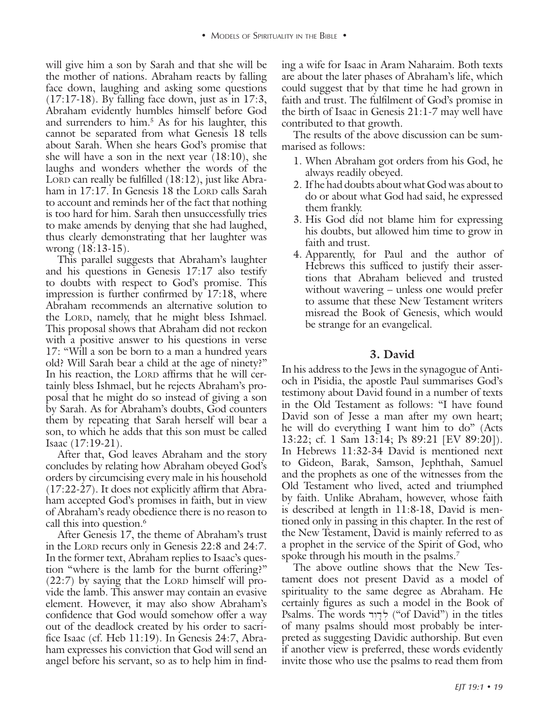will give him a son by Sarah and that she will be the mother of nations. Abraham reacts by falling face down, laughing and asking some questions  $(17:17-18)$ . By falling face down, just as in 17:3, Abraham evidently humbles himself before God and surrenders to him.5 As for his laughter, this cannot be separated from what Genesis 18 tells about Sarah. When she hears God's promise that she will have a son in the next year (18:10), she laughs and wonders whether the words of the LORD can really be fulfilled  $(18:12)$ , just like Abraham in  $17:17$ . In Genesis 18 the LORD calls Sarah to account and reminds her of the fact that nothing is too hard for him. Sarah then unsuccessfully tries to make amends by denying that she had laughed, thus clearly demonstrating that her laughter was wrong (18:13-15).

This parallel suggests that Abraham's laughter and his questions in Genesis 17:17 also testify to doubts with respect to God's promise. This impression is further confirmed by 17:18, where Abraham recommends an alternative solution to the LORD, namely, that he might bless Ishmael. This proposal shows that Abraham did not reckon with a positive answer to his questions in verse 17: "Will a son be born to a man a hundred years old? Will Sarah bear a child at the age of ninety?" In his reaction, the LORD affirms that he will certainly bless Ishmael, but he rejects Abraham's proposal that he might do so instead of giving a son by Sarah. As for Abraham's doubts, God counters them by repeating that Sarah herself will bear a son, to which he adds that this son must be called Isaac (17:19-21).

After that, God leaves Abraham and the story concludes by relating how Abraham obeyed God's orders by circumcising every male in his household (17:22-27). It does not explicitly affirm that Abraham accepted God's promises in faith, but in view of Abraham's ready obedience there is no reason to call this into question.<sup>6</sup>

After Genesis 17, the theme of Abraham's trust in the Lord recurs only in Genesis 22:8 and 24:7. In the former text, Abraham replies to Isaac's question "where is the lamb for the burnt offering?"  $(22:7)$  by saying that the LORD himself will provide the lamb. This answer may contain an evasive element. However, it may also show Abraham's confidence that God would somehow offer a way out of the deadlock created by his order to sacrifice Isaac (cf. Heb 11:19). In Genesis 24:7, Abraham expresses his conviction that God will send an angel before his servant, so as to help him in finding a wife for Isaac in Aram Naharaim. Both texts are about the later phases of Abraham's life, which could suggest that by that time he had grown in faith and trust. The fulfilment of God's promise in the birth of Isaac in Genesis 21:1-7 may well have contributed to that growth.

The results of the above discussion can be summarised as follows:

- 1. When Abraham got orders from his God, he always readily obeyed.
- 2. If he had doubts about what God was about to do or about what God had said, he expressed them frankly.
- 3. His God did not blame him for expressing his doubts, but allowed him time to grow in faith and trust.
- 4. Apparently, for Paul and the author of Hebrews this sufficed to justify their assertions that Abraham believed and trusted without wavering – unless one would prefer to assume that these New Testament writers misread the Book of Genesis, which would be strange for an evangelical.

## **3. David**

In his address to the Jews in the synagogue of Antioch in Pisidia, the apostle Paul summarises God's testimony about David found in a number of texts in the Old Testament as follows: "I have found David son of Jesse a man after my own heart; he will do everything I want him to do" (Acts 13:22; cf. 1 Sam 13:14; Ps 89:21 [EV 89:20]). In Hebrews 11:32-34 David is mentioned next to Gideon, Barak, Samson, Jephthah, Samuel and the prophets as one of the witnesses from the Old Testament who lived, acted and triumphed by faith. Unlike Abraham, however, whose faith is described at length in 11:8-18, David is mentioned only in passing in this chapter. In the rest of the New Testament, David is mainly referred to as a prophet in the service of the Spirit of God, who spoke through his mouth in the psalms.<sup>7</sup>

The above outline shows that the New Testament does not present David as a model of spirituality to the same degree as Abraham. He certainly figures as such a model in the Book of Psalms. The words לְדָוִר ("of David") in the titles of many psalms should most probably be interpreted as suggesting Davidic authorship. But even if another view is preferred, these words evidently invite those who use the psalms to read them from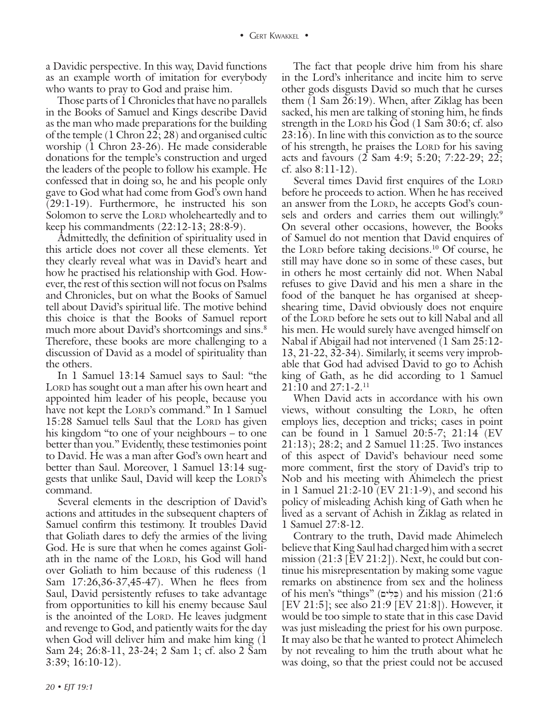a Davidic perspective. In this way, David functions as an example worth of imitation for everybody who wants to pray to God and praise him.

Those parts of 1 Chronicles that have no parallels in the Books of Samuel and Kings describe David as the man who made preparations for the building of the temple (1 Chron 22; 28) and organised cultic worship (1 Chron 23-26). He made considerable donations for the temple's construction and urged the leaders of the people to follow his example. He confessed that in doing so, he and his people only gave to God what had come from God's own hand (29:1-19). Furthermore, he instructed his son Solomon to serve the Lord wholeheartedly and to keep his commandments (22:12-13; 28:8-9).

Admittedly, the definition of spirituality used in this article does not cover all these elements. Yet they clearly reveal what was in David's heart and how he practised his relationship with God. However, the rest of this section will not focus on Psalms and Chronicles, but on what the Books of Samuel tell about David's spiritual life. The motive behind this choice is that the Books of Samuel report much more about David's shortcomings and sins.<sup>8</sup> Therefore, these books are more challenging to a discussion of David as a model of spirituality than the others.

In 1 Samuel 13:14 Samuel says to Saul: "the LORD has sought out a man after his own heart and appointed him leader of his people, because you have not kept the LORD's command." In 1 Samuel 15:28 Samuel tells Saul that the Lord has given his kingdom "to one of your neighbours – to one better than you." Evidently, these testimonies point to David. He was a man after God's own heart and better than Saul. Moreover, 1 Samuel 13:14 suggests that unlike Saul, David will keep the LORD's command.

Several elements in the description of David's actions and attitudes in the subsequent chapters of Samuel confirm this testimony. It troubles David that Goliath dares to defy the armies of the living God. He is sure that when he comes against Goliath in the name of the LORD, his God will hand over Goliath to him because of this rudeness (1 Sam 17:26,36-37,45-47). When he flees from Saul, David persistently refuses to take advantage from opportunities to kill his enemy because Saul is the anointed of the LORD. He leaves judgment and revenge to God, and patiently waits for the day when God will deliver him and make him king (1 Sam 24; 26:8-11, 23-24; 2 Sam 1; cf. also 2 Sam 3:39; 16:10-12).

The fact that people drive him from his share in the Lord's inheritance and incite him to serve other gods disgusts David so much that he curses them (1 Sam 26:19). When, after Ziklag has been sacked, his men are talking of stoning him, he finds strength in the LORD his God  $(1 \text{ Sam } 30:6; cf. also$ 23:16). In line with this conviction as to the source of his strength, he praises the Lord for his saving acts and favours (2 Sam 4:9; 5:20; 7:22-29; 22; cf. also 8:11-12).

Several times David first enquires of the LORD before he proceeds to action. When he has received an answer from the LORD, he accepts God's counsels and orders and carries them out willingly.<sup>9</sup> On several other occasions, however, the Books of Samuel do not mention that David enquires of the Lord before taking decisions.<sup>10</sup> Of course, he still may have done so in some of these cases, but in others he most certainly did not. When Nabal refuses to give David and his men a share in the food of the banquet he has organised at sheepshearing time, David obviously does not enquire of the Lord before he sets out to kill Nabal and all his men. He would surely have avenged himself on Nabal if Abigail had not intervened (1 Sam 25:12- 13, 21-22, 32-34). Similarly, it seems very improbable that God had advised David to go to Achish king of Gath, as he did according to 1 Samuel  $21:10$  and  $27:1-2.11$ 

When David acts in accordance with his own views, without consulting the LORD, he often employs lies, deception and tricks; cases in point can be found in 1 Samuel 20:5-7; 21:14 (EV 21:13); 28:2; and 2 Samuel 11:25. Two instances of this aspect of David's behaviour need some more comment, first the story of David's trip to Nob and his meeting with Ahimelech the priest in 1 Samuel 21:2-10 (EV 21:1-9), and second his policy of misleading Achish king of Gath when he lived as a servant of Achish in Ziklag as related in 1 Samuel 27:8-12.

Contrary to the truth, David made Ahimelech believe that King Saul had charged him with a secret mission (21:3 [EV 21:2]). Next, he could but continue his misrepresentation by making some vague remarks on abstinence from sex and the holiness of his men's "things" (בֵּלִים) and his mission (21:6 [EV 21:5]; see also 21:9 [EV 21:8]). However, it would be too simple to state that in this case David was just misleading the priest for his own purpose. It may also be that he wanted to protect Ahimelech by not revealing to him the truth about what he was doing, so that the priest could not be accused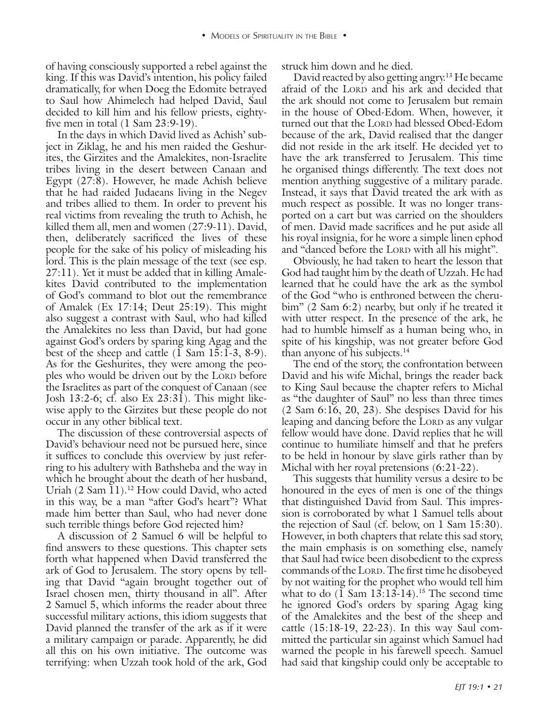of having consciously supported a rebel against the king. If this was David's intention, his policy failed dramatically, for when Doeg the Edomite betrayed to Saul how Ahimelech had helped David, Saul decided to kill him and his fellow priests, eightyfive men in total (1 Sam 23:9-19).

In the days in which David lived as Achish' subject in Ziklag, he and his men raided the Geshurites, the Girzites and the Amalekites, non-Israelite tribes living in the desert between Canaan and Egypt (27:8). However, he made Achish believe that he had raided Judaeans living in the Negev and tribes allied to them. In order to prevent his real victims from revealing the truth to Achish, he killed them all, men and women (27:9-11). David, then, deliberately sacrificed the lives of these people for the sake of his policy of misleading his lord. This is the plain message of the text (see esp. 27:11). Yet it must be added that in killing Amalekites David contributed to the implementation of God's command to blot out the remembrance of Amalek (Ex 17:14; Deut 25:19). This might also suggest a contrast with Saul, who had killed the Amalekites no less than David, but had gone against God's orders by sparing king Agag and the best of the sheep and cattle  $(\overline{1} \text{ Sam } 15:\overline{1}\cdot3, 8\cdot9)$ . As for the Geshurites, they were among the peoples who would be driven out by the LORD before the Israelites as part of the conquest of Canaan (see Josh 13:2-6; cf. also Ex 23:31). This might likewise apply to the Girzites but these people do not occur in any other biblical text.

The discussion of these controversial aspects of David's behaviour need not be pursued here, since it suffices to conclude this overview by just referring to his adultery with Bathsheba and the way in which he brought about the death of her husband, Uriah (2 Sam  $\overline{1}1$ ).<sup>12</sup> How could David, who acted in this way, be a man "after God's heart"? What made him better than Saul, who had never done such terrible things before God rejected him?

A discussion of 2 Samuel 6 will be helpful to find answers to these questions. This chapter sets forth what happened when David transferred the ark of God to Jerusalem. The story opens by telling that David "again brought together out of Israel chosen men, thirty thousand in all". After 2 Samuel 5, which informs the reader about three successful military actions, this idiom suggests that David planned the transfer of the ark as if it were a military campaign or parade. Apparently, he did all this on his own initiative. The outcome was terrifying: when Uzzah took hold of the ark, God

struck him down and he died.

David reacted by also getting angry.13 He became afraid of the LORD and his ark and decided that the ark should not come to Jerusalem but remain in the house of Obed-Edom. When, however, it turned out that the LORD had blessed Obed-Edom because of the ark, David realised that the danger did not reside in the ark itself. He decided yet to have the ark transferred to Jerusalem. This time he organised things differently. The text does not mention anything suggestive of a military parade. Instead, it says that David treated the ark with as much respect as possible. It was no longer transported on a cart but was carried on the shoulders of men. David made sacrifices and he put aside all his royal insignia, for he wore a simple linen ephod and "danced before the LORD with all his might".

Obviously, he had taken to heart the lesson that God had taught him by the death of Uzzah. He had learned that he could have the ark as the symbol of the God "who is enthroned between the cherubim" (2 Sam 6:2) nearby, but only if he treated it with utter respect. In the presence of the ark, he had to humble himself as a human being who, in spite of his kingship, was not greater before God than anyone of his subjects.14

The end of the story, the confrontation between David and his wife Michal, brings the reader back to King Saul because the chapter refers to Michal as "the daughter of Saul" no less than three times (2 Sam 6:16, 20, 23). She despises David for his leaping and dancing before the LORD as any vulgar fellow would have done. David replies that he will continue to humiliate himself and that he prefers to be held in honour by slave girls rather than by Michal with her royal pretensions (6:21-22).

This suggests that humility versus a desire to be honoured in the eyes of men is one of the things that distinguished David from Saul. This impression is corroborated by what 1 Samuel tells about the rejection of Saul (cf. below, on 1 Sam 15:30). However, in both chapters that relate this sad story, the main emphasis is on something else, namely that Saul had twice been disobedient to the express commands of the LORD. The first time he disobeyed by not waiting for the prophet who would tell him what to do  $(\overline{1} \text{ Sam } 13:13.14).^{15}$  The second time he ignored God's orders by sparing Agag king of the Amalekites and the best of the sheep and cattle (15:18-19, 22-23). In this way Saul committed the particular sin against which Samuel had warned the people in his farewell speech. Samuel had said that kingship could only be acceptable to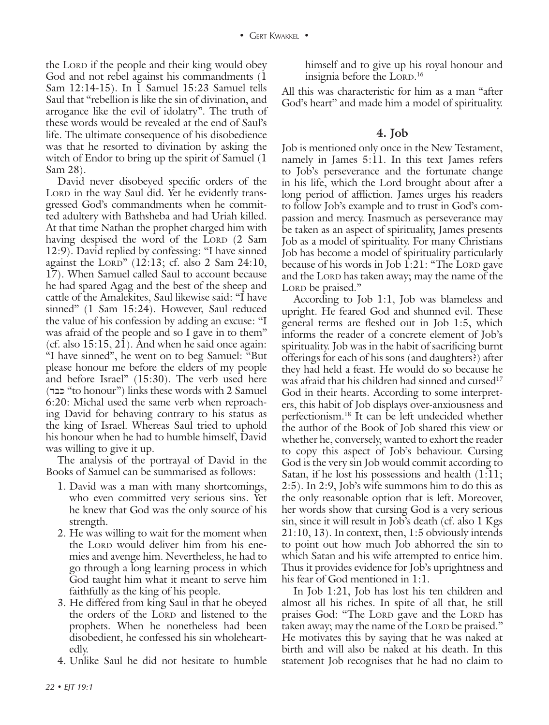the LORD if the people and their king would obey God and not rebel against his commandments (1 Sam 12:14-15). In 1 Samuel 15:23 Samuel tells Saul that "rebellion is like the sin of divination, and arrogance like the evil of idolatry". The truth of these words would be revealed at the end of Saul's life. The ultimate consequence of his disobedience was that he resorted to divination by asking the witch of Endor to bring up the spirit of Samuel (1 Sam 28).

David never disobeyed specific orders of the LORD in the way Saul did. Yet he evidently transgressed God's commandments when he committed adultery with Bathsheba and had Uriah killed. At that time Nathan the prophet charged him with having despised the word of the LORD (2 Sam 12:9). David replied by confessing: "I have sinned against the LORD"  $(12:13;$  cf. also 2 Sam 24:10, 17). When Samuel called Saul to account because he had spared Agag and the best of the sheep and cattle of the Amalekites, Saul likewise said: "I have sinned" (1 Sam 15:24). However, Saul reduced the value of his confession by adding an excuse: "I was afraid of the people and so I gave in to them" (cf. also  $15:15$ , 21). And when he said once again: "I have sinned", he went on to beg Samuel: "But please honour me before the elders of my people and before Israel" (15:30). The verb used here (dbk "to honour") links these words with 2 Samuel 6:20: Michal used the same verb when reproaching David for behaving contrary to his status as the king of Israel. Whereas Saul tried to uphold his honour when he had to humble himself, David was willing to give it up.

The analysis of the portrayal of David in the Books of Samuel can be summarised as follows:

- 1. David was a man with many shortcomings, who even committed very serious sins. Yet he knew that God was the only source of his strength.
- 2. He was willing to wait for the moment when the LORD would deliver him from his enemies and avenge him. Nevertheless, he had to go through a long learning process in which God taught him what it meant to serve him faithfully as the king of his people.
- 3. He differed from king Saul in that he obeyed the orders of the Lorp and listened to the prophets. When he nonetheless had been disobedient, he confessed his sin wholeheartedly.
- 4. Unlike Saul he did not hesitate to humble

himself and to give up his royal honour and insignia before the LORD.<sup>16</sup>

All this was characteristic for him as a man "after God's heart" and made him a model of spirituality.

#### **4. Job**

Job is mentioned only once in the New Testament, namely in James 5:11. In this text James refers to Job's perseverance and the fortunate change in his life, which the Lord brought about after a long period of affliction. James urges his readers to follow Job's example and to trust in God's compassion and mercy. Inasmuch as perseverance may be taken as an aspect of spirituality, James presents Job as a model of spirituality. For many Christians Job has become a model of spirituality particularly because of his words in Job  $1:21:$  "The LORD gave and the LORD has taken away; may the name of the LORD be praised."

According to Job 1:1, Job was blameless and upright. He feared God and shunned evil. These general terms are fleshed out in Job 1:5, which informs the reader of a concrete element of Job's spirituality. Job was in the habit of sacrificing burnt offerings for each of his sons (and daughters?) after they had held a feast. He would do so because he was afraid that his children had sinned and cursed<sup>17</sup> God in their hearts. According to some interpreters, this habit of Job displays over-anxiousness and perfectionism.18 It can be left undecided whether the author of the Book of Job shared this view or whether he, conversely, wanted to exhort the reader to copy this aspect of Job's behaviour. Cursing God is the very sin Job would commit according to Satan, if he lost his possessions and health (1:11; 2:5). In 2:9, Job's wife summons him to do this as the only reasonable option that is left. Moreover, her words show that cursing God is a very serious sin, since it will result in Job's death (cf. also 1 Kgs 21:10, 13). In context, then, 1:5 obviously intends to point out how much Job abhorred the sin to which Satan and his wife attempted to entice him. Thus it provides evidence for Job's uprightness and his fear of God mentioned in 1:1.

In Job 1:21, Job has lost his ten children and almost all his riches. In spite of all that, he still praises God: "The Lord gave and the Lord has taken away; may the name of the Lord be praised." He motivates this by saying that he was naked at birth and will also be naked at his death. In this statement Job recognises that he had no claim to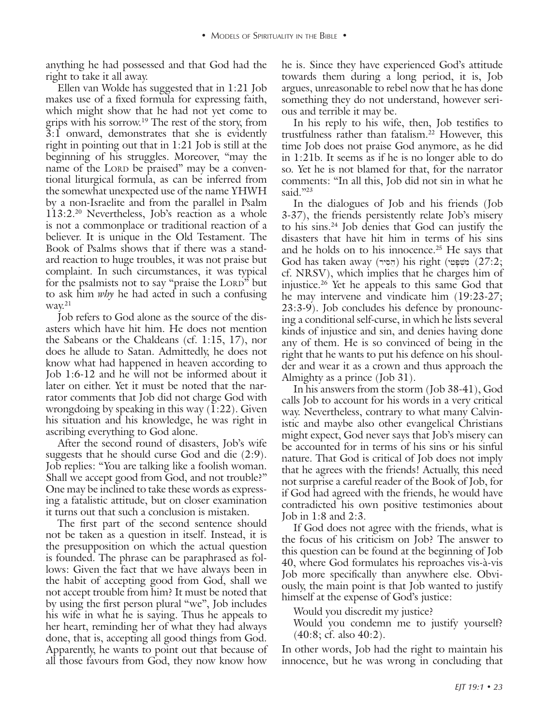right to take it all away.

anything he had possessed and the K since the K since the K since the K since the K since the K since the K since the K since the K since the K since the K since the K since the R and South and the content of the God had t Ellen van Wolde has suggested that in 1:21 Job makes use of a fixed formula for expressing faith, which might show that he had not yet come to grips with his sorrow.19 The rest of the story, from 3:1 onward, demonstrates that she is evidently right in pointing out that in 1:21 Job is still at the beginning of his struggles. Moreover, "may the name of the Lord be praised" may be a conventional liturgical formula, as can be inferred from the somewhat unexpected use of the name YHWH by a non-Israelite and from the parallel in Psalm 113:2.20 Nevertheless, Job's reaction as a whole is not a commonplace or traditional reaction of a believer. It is unique in the Old Testament. The Book of Psalms shows that if there was a standard reaction to huge troubles, it was not praise but complaint. In such circumstances, it was typical for the psalmists not to say "praise the LORD" but to ask him *why* he had acted in such a confusing way.<sup>21</sup>

Job refers to God alone as the source of the disasters which have hit him. He does not mention the Sabeans or the Chaldeans (cf. 1:15, 17), nor does he allude to Satan. Admittedly, he does not know what had happened in heaven according to Job 1:6-12 and he will not be informed about it later on either. Yet it must be noted that the narrator comments that Job did not charge God with wrongdoing by speaking in this way (1:22). Given his situation and his knowledge, he was right in ascribing everything to God alone.

After the second round of disasters, Job's wife suggests that he should curse God and die (2:9). Job replies: "You are talking like a foolish woman. Shall we accept good from God, and not trouble?" One may be inclined to take these words as expressing a fatalistic attitude, but on closer examination it turns out that such a conclusion is mistaken.

The first part of the second sentence should not be taken as a question in itself. Instead, it is the presupposition on which the actual question is founded. The phrase can be paraphrased as follows: Given the fact that we have always been in the habit of accepting good from God, shall we not accept trouble from him? It must be noted that by using the first person plural "we", Job includes his wife in what he is saying. Thus he appeals to her heart, reminding her of what they had always done, that is, accepting all good things from God. Apparently, he wants to point out that because of all those favours from God, they now know how

he is. Since they have experienced God's attitude towards them during a long period, it is, Job argues, unreasonable to rebel now that he has done something they do not understand, however serious and terrible it may be.

In his reply to his wife, then, Job testifies to trustfulness rather than fatalism.<sup>22</sup> However, this time Job does not praise God anymore, as he did in 1:21b. It seems as if he is no longer able to do so. Yet he is not blamed for that, for the narrator comments: "In all this, Job did not sin in what he said."23

In the dialogues of Job and his friends (Job 3-37), the friends persistently relate Job's misery to his sins.24 Job denies that God can justify the disasters that have hit him in terms of his sins and he holds on to his innocence.<sup>25</sup> He says that God has taken away (הֵסְיר) his right (מִשְׁפָּטִי (27:2; cf. NRSV), which implies that he charges him of injustice.26 Yet he appeals to this same God that he may intervene and vindicate him (19:23-27; 23:3-9). Job concludes his defence by pronouncing a conditional self-curse, in which he lists several kinds of injustice and sin, and denies having done any of them. He is so convinced of being in the right that he wants to put his defence on his shoulder and wear it as a crown and thus approach the Almighty as a prince (Job 31).

In his answers from the storm (Job 38-41), God calls Job to account for his words in a very critical way. Nevertheless, contrary to what many Calvinistic and maybe also other evangelical Christians might expect, God never says that Job's misery can be accounted for in terms of his sins or his sinful nature. That God is critical of Job does not imply that he agrees with the friends! Actually, this need not surprise a careful reader of the Book of Job, for if God had agreed with the friends, he would have contradicted his own positive testimonies about Job in 1:8 and 2:3.

If God does not agree with the friends, what is the focus of his criticism on Job? The answer to this question can be found at the beginning of Job 40, where God formulates his reproaches vis-à-vis Job more specifically than anywhere else. Obviously, the main point is that Job wanted to justify himself at the expense of God's justice:

Would you discredit my justice?

Would you condemn me to justify yourself? (40:8; cf. also 40:2).

In other words, Job had the right to maintain his innocence, but he was wrong in concluding that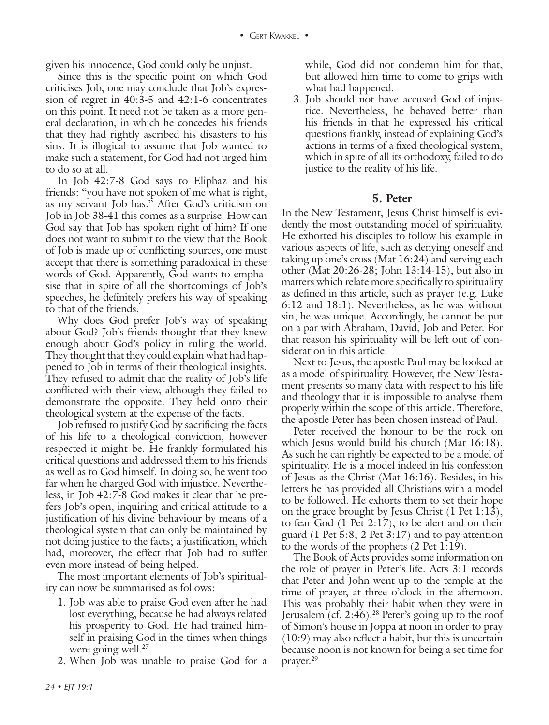given his innocence, God could only be unjust.

Since this is the specific point on which God criticises Job, one may conclude that Job's expression of regret in 40:3-5 and 42:1-6 concentrates on this point. It need not be taken as a more general declaration, in which he concedes his friends that they had rightly ascribed his disasters to his sins. It is illogical to assume that Job wanted to make such a statement, for God had not urged him to do so at all.

In Job 42:7-8 God says to Eliphaz and his friends: "you have not spoken of me what is right, as my servant Job has." After God's criticism on Job in Job 38-41 this comes as a surprise. How can God say that Job has spoken right of him? If one does not want to submit to the view that the Book of Job is made up of conflicting sources, one must accept that there is something paradoxical in these words of God. Apparently, God wants to emphasise that in spite of all the shortcomings of Job's speeches, he definitely prefers his way of speaking to that of the friends.

Why does God prefer Job's way of speaking about God? Job's friends thought that they knew enough about God's policy in ruling the world. They thought that they could explain what had happened to Job in terms of their theological insights. They refused to admit that the reality of Job's life conflicted with their view, although they failed to demonstrate the opposite. They held onto their theological system at the expense of the facts.

Job refused to justify God by sacrificing the facts of his life to a theological conviction, however respected it might be. He frankly formulated his critical questions and addressed them to his friends as well as to God himself. In doing so, he went too far when he charged God with injustice. Nevertheless, in Job 42:7-8 God makes it clear that he prefers Job's open, inquiring and critical attitude to a justification of his divine behaviour by means of a theological system that can only be maintained by not doing justice to the facts; a justification, which had, moreover, the effect that Job had to suffer even more instead of being helped.

The most important elements of Job's spirituality can now be summarised as follows:

- 1. Job was able to praise God even after he had lost everything, because he had always related his prosperity to God. He had trained himself in praising God in the times when things were going well.<sup>27</sup>
- 2. When Job was unable to praise God for a

while, God did not condemn him for that, but allowed him time to come to grips with what had happened.

3. Job should not have accused God of injustice. Nevertheless, he behaved better than his friends in that he expressed his critical questions frankly, instead of explaining God's actions in terms of a fixed theological system, which in spite of all its orthodoxy, failed to do justice to the reality of his life.

#### **5. Peter**

In the New Testament, Jesus Christ himself is evidently the most outstanding model of spirituality. He exhorted his disciples to follow his example in various aspects of life, such as denying oneself and taking up one's cross (Mat 16:24) and serving each other (Mat 20:26-28; John 13:14-15), but also in matters which relate more specifically to spirituality as defined in this article, such as prayer (e.g. Luke 6:12 and 18:1). Nevertheless, as he was without sin, he was unique. Accordingly, he cannot be put on a par with Abraham, David, Job and Peter. For that reason his spirituality will be left out of consideration in this article.

Next to Jesus, the apostle Paul may be looked at as a model of spirituality. However, the New Testament presents so many data with respect to his life and theology that it is impossible to analyse them properly within the scope of this article. Therefore, the apostle Peter has been chosen instead of Paul.

Peter received the honour to be the rock on which Jesus would build his church (Mat 16:18). As such he can rightly be expected to be a model of spirituality. He is a model indeed in his confession of Jesus as the Christ (Mat 16:16). Besides, in his letters he has provided all Christians with a model to be followed. He exhorts them to set their hope on the grace brought by Jesus Christ (1 Pet 1:13), to fear God (1 Pet 2:17), to be alert and on their guard (1 Pet  $5:8$ ; 2 Pet  $3:17$ ) and to pay attention to the words of the prophets (2 Pet 1:19).

The Book of Acts provides some information on the role of prayer in Peter's life. Acts 3:1 records that Peter and John went up to the temple at the time of prayer, at three o'clock in the afternoon. This was probably their habit when they were in Jerusalem  $(cf. 2:46).^{28}$  Peter's going up to the roof of Simon's house in Joppa at noon in order to pray (10:9) may also reflect a habit, but this is uncertain because noon is not known for being a set time for prayer.29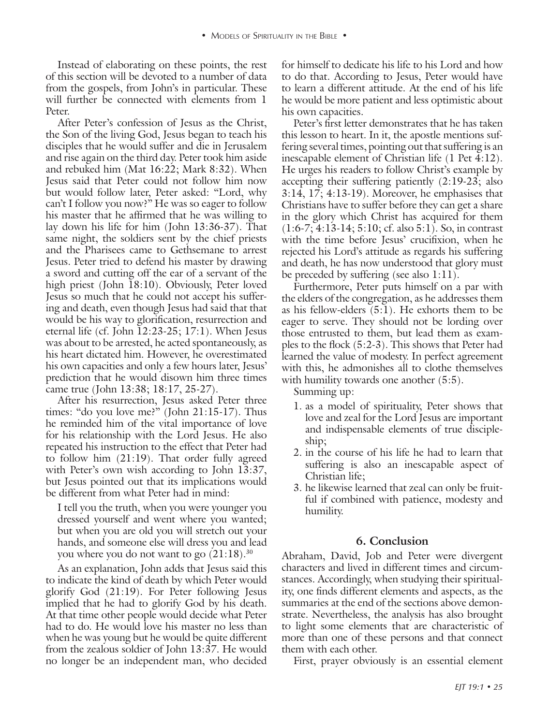of this section will be devoted to a number of data from the gospels, from John's in particular. These will further be connected with elements from 1 Peter.

Instead of elaborating on these points, the rest for himself to delate his life to instead of the rest control of the rest of the state in the rest of the state in the rest of the rest of the rest of the rest of the rest After Peter's confession of Jesus as the Christ, the Son of the living God, Jesus began to teach his disciples that he would suffer and die in Jerusalem and rise again on the third day. Peter took him aside and rebuked him (Mat 16:22; Mark 8:32). When Jesus said that Peter could not follow him now but would follow later, Peter asked: "Lord, why can't I follow you now?" He was so eager to follow his master that he affirmed that he was willing to lay down his life for him (John 13:36-37). That same night, the soldiers sent by the chief priests and the Pharisees came to Gethsemane to arrest Jesus. Peter tried to defend his master by drawing a sword and cutting off the ear of a servant of the high priest (John 18:10). Obviously, Peter loved Jesus so much that he could not accept his suffering and death, even though Jesus had said that that would be his way to glorification, resurrection and eternal life (cf. John 12:23-25; 17:1). When Jesus was about to be arrested, he acted spontaneously, as his heart dictated him. However, he overestimated his own capacities and only a few hours later, Jesus' prediction that he would disown him three times came true (John 13:38; 18:17, 25-27).

After his resurrection, Jesus asked Peter three times: "do you love me?" (John 21:15-17). Thus he reminded him of the vital importance of love for his relationship with the Lord Jesus. He also repeated his instruction to the effect that Peter had to follow him (21:19). That order fully agreed with Peter's own wish according to John 13:37, but Jesus pointed out that its implications would be different from what Peter had in mind:

I tell you the truth, when you were younger you dressed yourself and went where you wanted; but when you are old you will stretch out your hands, and someone else will dress you and lead you where you do not want to go  $(21:18).^{30}$ 

As an explanation, John adds that Jesus said this to indicate the kind of death by which Peter would glorify God (21:19). For Peter following Jesus implied that he had to glorify God by his death. At that time other people would decide what Peter had to do. He would love his master no less than when he was young but he would be quite different from the zealous soldier of John 13:37. He would no longer be an independent man, who decided

for himself to dedicate his life to his Lord and how to do that. According to Jesus, Peter would have to learn a different attitude. At the end of his life he would be more patient and less optimistic about his own capacities.

Peter's first letter demonstrates that he has taken this lesson to heart. In it, the apostle mentions suffering several times, pointing out that suffering is an inescapable element of Christian life (1 Pet 4:12). He urges his readers to follow Christ's example by accepting their suffering patiently (2:19-23; also 3:14, 17; 4:13-19). Moreover, he emphasises that Christians have to suffer before they can get a share in the glory which Christ has acquired for them (1:6-7; 4:13-14; 5:10; cf. also 5:1). So, in contrast with the time before Jesus' crucifixion, when he rejected his Lord's attitude as regards his suffering and death, he has now understood that glory must be preceded by suffering (see also 1:11).

Furthermore, Peter puts himself on a par with the elders of the congregation, as he addresses them as his fellow-elders (5:1). He exhorts them to be eager to serve. They should not be lording over those entrusted to them, but lead them as examples to the flock (5:2-3). This shows that Peter had learned the value of modesty. In perfect agreement with this, he admonishes all to clothe themselves with humility towards one another  $(5:5)$ .

Summing up:

- 1. as a model of spirituality, Peter shows that love and zeal for the Lord Jesus are important and indispensable elements of true discipleship;
- 2. in the course of his life he had to learn that suffering is also an inescapable aspect of Christian life;
- 3. he likewise learned that zeal can only be fruitful if combined with patience, modesty and humility.

#### **6. Conclusion**

Abraham, David, Job and Peter were divergent characters and lived in different times and circumstances. Accordingly, when studying their spirituality, one finds different elements and aspects, as the summaries at the end of the sections above demonstrate. Nevertheless, the analysis has also brought to light some elements that are characteristic of more than one of these persons and that connect them with each other.

First, prayer obviously is an essential element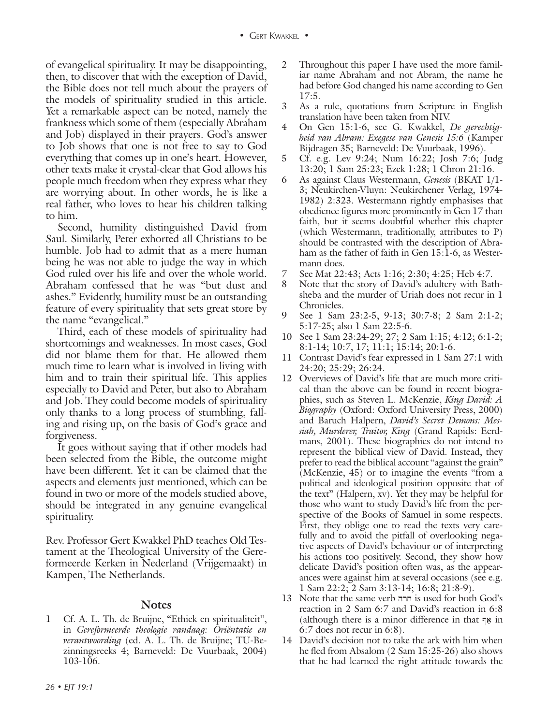of evangelical spirituality. It may be disappointing, then, to discover that with the exception of David, the Bible does not tell much about the prayers of the models of spirituality studied in this article. Yet a remarkable aspect can be noted, namely the frankness which some of them (especially Abraham and Job) displayed in their prayers. God's answer to Job shows that one is not free to say to God everything that comes up in one's heart. However, other texts make it crystal-clear that God allows his people much freedom when they express what they are worrying about. In other words, he is like a real father, who loves to hear his children talking to him.

Second, humility distinguished David from Saul. Similarly, Peter exhorted all Christians to be humble. Job had to admit that as a mere human being he was not able to judge the way in which God ruled over his life and over the whole world. Abraham confessed that he was "but dust and ashes." Evidently, humility must be an outstanding feature of every spirituality that sets great store by the name "evangelical."

Third, each of these models of spirituality had shortcomings and weaknesses. In most cases, God did not blame them for that. He allowed them much time to learn what is involved in living with him and to train their spiritual life. This applies especially to David and Peter, but also to Abraham and Job. They could become models of spirituality only thanks to a long process of stumbling, falling and rising up, on the basis of God's grace and forgiveness.

It goes without saying that if other models had been selected from the Bible, the outcome might have been different. Yet it can be claimed that the aspects and elements just mentioned, which can be found in two or more of the models studied above, should be integrated in any genuine evangelical spirituality.

Rev. Professor Gert Kwakkel PhD teaches Old Testament at the Theological University of the Gereformeerde Kerken in Nederland (Vrijgemaakt) in Kampen, The Netherlands.

#### **Notes**

1 Cf. A. L. Th. de Bruijne, "Ethiek en spiritualiteit", in *Gereformeerde theologie vandaag: Oriëntatie en verantwoording* (ed. A. L. Th. de Bruijne; TU-Bezinningsreeks 4; Barneveld: De Vuurbaak, 2004) 103-106.

- 2 Throughout this paper I have used the more familiar name Abraham and not Abram, the name he had before God changed his name according to Gen 17:5.
- 3 As a rule, quotations from Scripture in English translation have been taken from NIV.
- 4 On Gen 15:1-6, see G. Kwakkel, *De gerechtigheid van Abram: Exegese van Genesis 15:6* (Kamper Bijdragen 35; Barneveld: De Vuurbaak, 1996).
- 5 Cf. e.g. Lev 9:24; Num 16:22; Josh 7:6; Judg 13:20; 1 Sam 25:23; Ezek 1:28; 1 Chron 21:16.
- 6 As against Claus Westermann, *Genesis* (BKAT 1/1- 3; Neukirchen-Vluyn: Neukirchener Verlag, 1974- 1982) 2:323. Westermann rightly emphasises that obedience figures more prominently in Gen 17 than faith, but it seems doubtful whether this chapter (which Westermann, traditionally, attributes to P) should be contrasted with the description of Abraham as the father of faith in Gen 15:1-6, as Westermann does.
- 7 See Mat 22:43; Acts 1:16; 2:30; 4:25; Heb 4:7.
- 8 Note that the story of David's adultery with Bathsheba and the murder of Uriah does not recur in 1 Chronicles.
- 9 See 1 Sam 23:2-5, 9-13; 30:7-8; 2 Sam 2:1-2; 5:17-25; also 1 Sam 22:5-6.
- 10 See 1 Sam 23:24-29; 27; 2 Sam 1:15; 4:12; 6:1-2; 8:1-14; 10:7, 17; 11:1; 15:14; 20:1-6.
- 11 Contrast David's fear expressed in 1 Sam 27:1 with 24:20; 25:29; 26:24.
- 12 Overviews of David's life that are much more critical than the above can be found in recent biographies, such as Steven L. McKenzie, *King David: A Biography* (Oxford: Oxford University Press, 2000) and Baruch Halpern, *David's Secret Demons: Messiah, Murderer, Traitor, King* (Grand Rapids: Eerdmans, 2001). These biographies do not intend to represent the biblical view of David. Instead, they prefer to read the biblical account "against the grain" (McKenzie, 45) or to imagine the events "from a political and ideological position opposite that of the text" (Halpern, xv). Yet they may be helpful for those who want to study David's life from the perspective of the Books of Samuel in some respects. First, they oblige one to read the texts very carefully and to avoid the pitfall of overlooking negative aspects of David's behaviour or of interpreting his actions too positively. Second, they show how delicate David's position often was, as the appearances were against him at several occasions (see e.g. 1 Sam 22:2; 2 Sam 3:13-14; 16:8; 21:8-9).
- 13 Note that the same verb חרה is used for both God's reaction in 2 Sam 6:7 and David's reaction in 6:8 (although there is a minor difference in that  $\overline{a}$  in 6:7 does not recur in 6:8).
- 14 David's decision not to take the ark with him when he fled from Absalom (2 Sam 15:25-26) also shows that he had learned the right attitude towards the